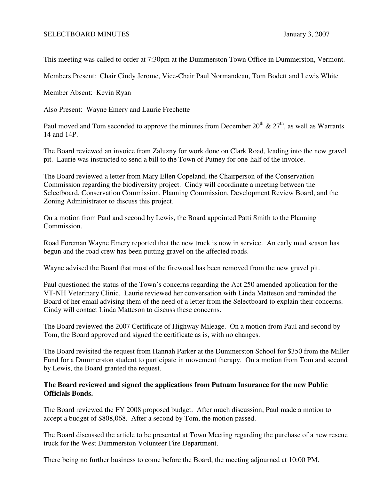## SELECTBOARD MINUTES January 3, 2007

This meeting was called to order at 7:30pm at the Dummerston Town Office in Dummerston, Vermont.

Members Present: Chair Cindy Jerome, Vice-Chair Paul Normandeau, Tom Bodett and Lewis White

Member Absent: Kevin Ryan

Also Present: Wayne Emery and Laurie Frechette

Paul moved and Tom seconded to approve the minutes from December  $20^{th} \& 27^{th}$ , as well as Warrants 14 and 14P.

The Board reviewed an invoice from Zaluzny for work done on Clark Road, leading into the new gravel pit. Laurie was instructed to send a bill to the Town of Putney for one-half of the invoice.

The Board reviewed a letter from Mary Ellen Copeland, the Chairperson of the Conservation Commission regarding the biodiversity project. Cindy will coordinate a meeting between the Selectboard, Conservation Commission, Planning Commission, Development Review Board, and the Zoning Administrator to discuss this project.

On a motion from Paul and second by Lewis, the Board appointed Patti Smith to the Planning Commission.

Road Foreman Wayne Emery reported that the new truck is now in service. An early mud season has begun and the road crew has been putting gravel on the affected roads.

Wayne advised the Board that most of the firewood has been removed from the new gravel pit.

Paul questioned the status of the Town's concerns regarding the Act 250 amended application for the VT-NH Veterinary Clinic. Laurie reviewed her conversation with Linda Matteson and reminded the Board of her email advising them of the need of a letter from the Selectboard to explain their concerns. Cindy will contact Linda Matteson to discuss these concerns.

The Board reviewed the 2007 Certificate of Highway Mileage. On a motion from Paul and second by Tom, the Board approved and signed the certificate as is, with no changes.

The Board revisited the request from Hannah Parker at the Dummerston School for \$350 from the Miller Fund for a Dummerston student to participate in movement therapy. On a motion from Tom and second by Lewis, the Board granted the request.

## **The Board reviewed and signed the applications from Putnam Insurance for the new Public Officials Bonds.**

The Board reviewed the FY 2008 proposed budget. After much discussion, Paul made a motion to accept a budget of \$808,068. After a second by Tom, the motion passed.

The Board discussed the article to be presented at Town Meeting regarding the purchase of a new rescue truck for the West Dummerston Volunteer Fire Department.

There being no further business to come before the Board, the meeting adjourned at 10:00 PM.